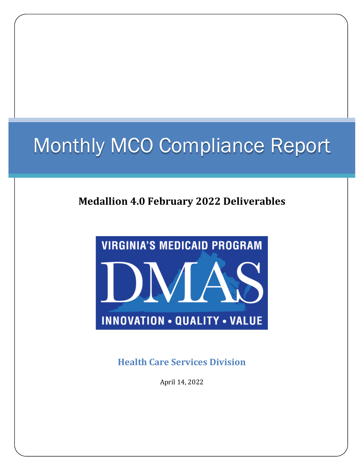# Monthly MCO Compliance Report

# **Medallion 4.0 February 2022 Deliverables**



**Health Care Services Division**

April 14, 2022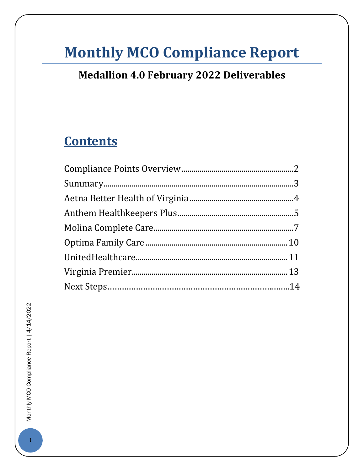# **Monthly MCO Compliance Report**

# **Medallion 4.0 February 2022 Deliverables**

# **Contents**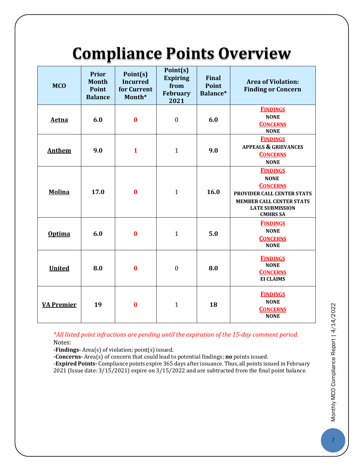# **Compliance Points Overview**

<span id="page-2-0"></span>

| <b>MCO</b>        | <b>Prior</b><br><b>Month</b><br>Point<br><b>Balance</b> | Point(s)<br><b>Incurred</b><br>for Current<br>Month* | Point(s)<br><b>Expiring</b><br>from<br><b>February</b><br>2021 | <b>Final</b><br>Point<br>Balance* | <b>Area of Violation:</b><br><b>Finding or Concern</b>                                                                                                          |
|-------------------|---------------------------------------------------------|------------------------------------------------------|----------------------------------------------------------------|-----------------------------------|-----------------------------------------------------------------------------------------------------------------------------------------------------------------|
| Aetna             | 6.0                                                     | $\bf{0}$                                             | $\boldsymbol{0}$                                               | 6.0                               | <b>FINDINGS</b><br><b>NONE</b><br><b>CONCERNS</b><br><b>NONE</b>                                                                                                |
| <b>Anthem</b>     | 9.0                                                     | $\mathbf{1}$                                         | $\mathbf{1}$                                                   | 9.0                               | <b>FINDINGS</b><br><b>APPEALS &amp; GRIEVANCES</b><br><b>CONCERNS</b><br><b>NONE</b>                                                                            |
| <b>Molina</b>     | 17.0                                                    | $\bf{0}$                                             | $\mathbf{1}$                                                   | 16.0                              | <b>FINDINGS</b><br><b>NONE</b><br><b>CONCERNS</b><br>PROVIDER CALL CENTER STATS<br><b>MEMBER CALL CENTER STATS</b><br><b>LATE SUBMISSION</b><br><b>CMHRS SA</b> |
| <b>Optima</b>     | 6.0                                                     | $\bf{0}$                                             | $\mathbf{1}$                                                   | 5.0                               | <b>FINDINGS</b><br><b>NONE</b><br><b>CONCERNS</b><br><b>NONE</b>                                                                                                |
| <b>United</b>     | 8.0                                                     | $\bf{0}$                                             | $\mathbf{0}$                                                   | 8.0                               | <b>FINDINGS</b><br><b>NONE</b><br><b>CONCERNS</b><br><b>EI CLAIMS</b>                                                                                           |
| <b>VA Premier</b> | 19                                                      | $\bf{0}$                                             | $\mathbf{1}$                                                   | 18                                | <b>FINDINGS</b><br><b>NONE</b><br><b>CONCERNS</b><br><b>NONE</b>                                                                                                |

*\*All listed point infractions are pending until the expiration of the 15-day comment period.* Notes:

**-Findings-** Area(s) of violation; point(s) issued.

**-Concerns-** Area(s) of concern that could lead to potential findings; **no** points issued.

<span id="page-2-1"></span>-**Expired Points-** Compliance points expire 365 days after issuance. Thus, all points issued in February 2021 (Issue date: 3/15/2021) expire on 3/15/2022 and are subtracted from the final point balance.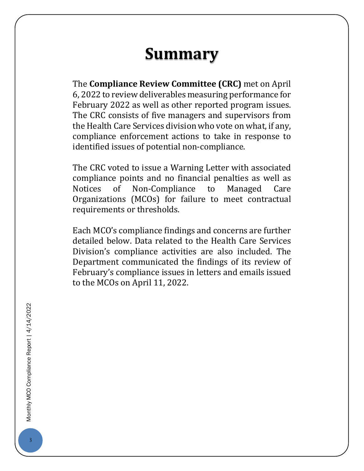# **Summary**

The **Compliance Review Committee (CRC)** met on April 6, 2022 to review deliverables measuring performance for February 2022 as well as other reported program issues. The CRC consists of five managers and supervisors from the Health Care Services division who vote on what, if any, compliance enforcement actions to take in response to identified issues of potential non-compliance.

The CRC voted to issue a Warning Letter with associated compliance points and no financial penalties as well as<br>Notices of Non-Compliance to Managed Care Non-Compliance to Managed Care Organizations (MCOs) for failure to meet contractual requirements or thresholds.

<span id="page-3-0"></span>Each MCO's compliance findings and concerns are further detailed below. Data related to the Health Care Services Division's compliance activities are also included. The Department communicated the findings of its review of February's compliance issues in letters and emails issued to the MCOs on April 11, 2022.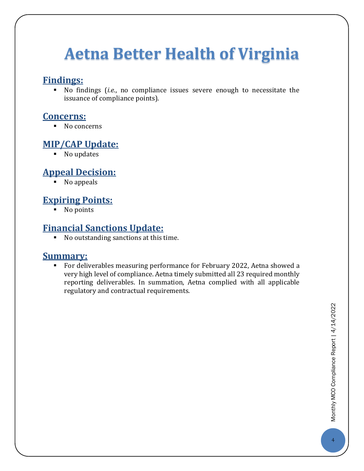# **Aetna Better Health of Virginia**

#### **Findings:**

 No findings (*i.e.*, no compliance issues severe enough to necessitate the issuance of compliance points).

#### **Concerns:**

No concerns

### **MIP/CAP Update:**

■ No updates

# **Appeal Decision:**

 $\overline{\phantom{a}}$  No appeals

# **Expiring Points:**

• No points

### **Financial Sanctions Update:**

 $\blacksquare$  No outstanding sanctions at this time.

#### **Summary:**

 For deliverables measuring performance for February 2022, Aetna showed a very high level of compliance. Aetna timely submitted all 23 required monthly reporting deliverables. In summation, Aetna complied with all applicable regulatory and contractual requirements.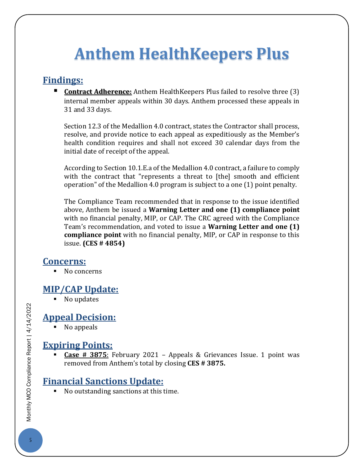# <span id="page-5-0"></span>**Anthem HealthKeepers Plus**

### **Findings:**

**Contract Adherence:** Anthem HealthKeepers Plus failed to resolve three (3) internal member appeals within 30 days. Anthem processed these appeals in 31 and 33 days.

Section 12.3 of the Medallion 4.0 contract, states the Contractor shall process, resolve, and provide notice to each appeal as expeditiously as the Member's health condition requires and shall not exceed 30 calendar days from the initial date of receipt of the appeal.

According to Section 10.1.E.a of the Medallion 4.0 contract, a failure to comply with the contract that "represents a threat to [the] smooth and efficient operation" of the Medallion 4.0 program is subject to a one (1) point penalty.

The Compliance Team recommended that in response to the issue identified above, Anthem be issued a **Warning Letter and one (1) compliance point** with no financial penalty, MIP, or CAP. The CRC agreed with the Compliance Team's recommendation, and voted to issue a **Warning Letter and one (1) compliance point** with no financial penalty, MIP, or CAP in response to this issue. **(CES # 4854)**

#### **Concerns:**

No concerns

# **MIP/CAP Update:**

■ No updates

# **Appeal Decision:**

No appeals

### **Expiring Points:**

 **Case # 3875**: February 2021 – Appeals & Grievances Issue. 1 point was removed from Anthem's total by closing **CES # 3875.**

### **Financial Sanctions Update:**

No outstanding sanctions at this time.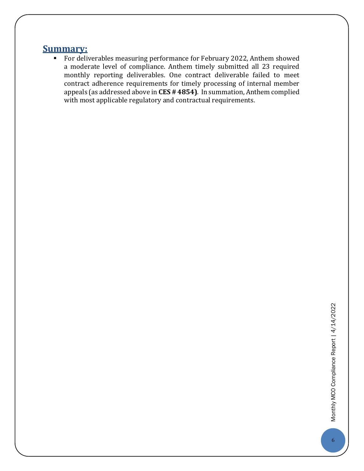#### **Summary:**

**For deliverables measuring performance for February 2022, Anthem showed** a moderate level of compliance. Anthem timely submitted all 23 required monthly reporting deliverables. One contract deliverable failed to meet contract adherence requirements for timely processing of internal member appeals (as addressed above in **CES # 4854)**. In summation, Anthem complied with most applicable regulatory and contractual requirements.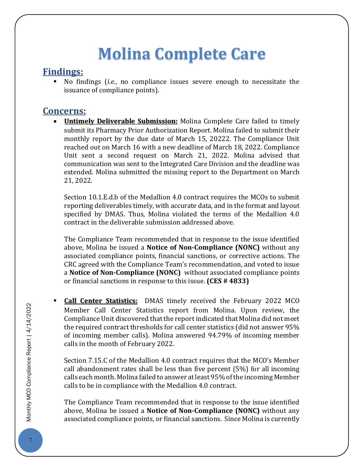# **Molina Complete Care**

#### <span id="page-7-0"></span>**Findings:**

 No findings (*i.e.*, no compliance issues severe enough to necessitate the issuance of compliance points).

#### **Concerns:**

• **Untimely Deliverable Submission:** Molina Complete Care failed to timely submit its Pharmacy Prior Authorization Report. Molina failed to submit their monthly report by the due date of March 15, 20222. The Compliance Unit reached out on March 16 with a new deadline of March 18, 2022. Compliance Unit sent a second request on March 21, 2022. Molina advised that communication was sent to the Integrated Care Division and the deadline was extended. Molina submitted the missing report to the Department on March 21, 2022.

Section 10.1.E.d.b of the Medallion 4.0 contract requires the MCOs to submit reporting deliverables timely, with accurate data, and in the format and layout specified by DMAS. Thus, Molina violated the terms of the Medallion 4.0 contract in the deliverable submission addressed above.

The Compliance Team recommended that in response to the issue identified above, Molina be issued a **Notice of Non-Compliance (NONC)** without any associated compliance points, financial sanctions, or corrective actions. The CRC agreed with the Compliance Team's recommendation, and voted to issue a **Notice of Non-Compliance (NONC)** without associated compliance points or financial sanctions in response to this issue. **(CES # 4833)**

 **Call Center Statistics:** DMAS timely received the February 2022 MCO Member Call Center Statistics report from Molina. Upon review, the Compliance Unit discovered that the report indicated that Molina did not meet the required contract thresholds for call center statistics (did not answer 95% of incoming member calls). Molina answered 94.79% of incoming member calls in the month of February 2022.

Section 7.15.C of the Medallion 4.0 contract requires that the MCO's Member call abandonment rates shall be less than five percent (5%) for all incoming calls each month. Molina failed to answer at least 95% of the incoming Member calls to be in compliance with the Medallion 4.0 contract.

The Compliance Team recommended that in response to the issue identified above, Molina be issued a **Notice of Non-Compliance (NONC)** without any associated compliance points, or financial sanctions. Since Molina is currently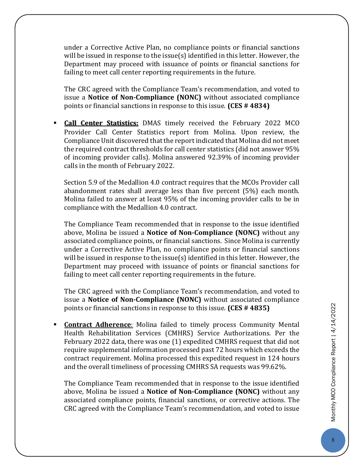under a Corrective Active Plan, no compliance points or financial sanctions will be issued in response to the issue(s) identified in this letter. However, the Department may proceed with issuance of points or financial sanctions for failing to meet call center reporting requirements in the future.

The CRC agreed with the Compliance Team's recommendation, and voted to issue a **Notice of Non-Compliance (NONC)** without associated compliance points or financial sanctions in response to this issue. **(CES # 4834)**

 **Call Center Statistics:** DMAS timely received the February 2022 MCO Provider Call Center Statistics report from Molina. Upon review, the Compliance Unit discovered that the report indicated that Molina did not meet the required contract thresholds for call center statistics (did not answer 95% of incoming provider calls). Molina answered 92.39% of incoming provider calls in the month of February 2022.

Section 5.9 of the Medallion 4.0 contract requires that the MCOs Provider call abandonment rates shall average less than five percent (5%) each month. Molina failed to answer at least 95% of the incoming provider calls to be in compliance with the Medallion 4.0 contract.

The Compliance Team recommended that in response to the issue identified above, Molina be issued a **Notice of Non-Compliance (NONC)** without any associated compliance points, or financial sanctions. Since Molina is currently under a Corrective Active Plan, no compliance points or financial sanctions will be issued in response to the issue(s) identified in this letter. However, the Department may proceed with issuance of points or financial sanctions for failing to meet call center reporting requirements in the future.

The CRC agreed with the Compliance Team's recommendation, and voted to issue a **Notice of Non-Compliance (NONC)** without associated compliance points or financial sanctions in response to this issue. **(CES # 4835)**

 **Contract Adherence**: Molina failed to timely process Community Mental Health Rehabilitation Services (CMHRS) Service Authorizations. Per the February 2022 data, there was one (1) expedited CMHRS request that did not require supplemental information processed past 72 hours which exceeds the contract requirement. Molina processed this expedited request in 124 hours and the overall timeliness of processing CMHRS SA requests was 99.62%.

The Compliance Team recommended that in response to the issue identified above, Molina be issued a **Notice of Non-Compliance (NONC)** without any associated compliance points, financial sanctions, or corrective actions. The CRC agreed with the Compliance Team's recommendation, and voted to issue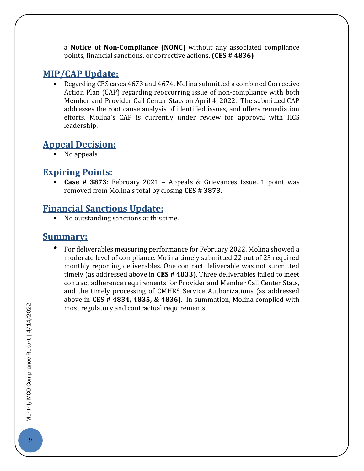a **Notice of Non-Compliance (NONC)** without any associated compliance points, financial sanctions, or corrective actions. **(CES # 4836)**

### **MIP/CAP Update:**

• Regarding CES cases 4673 and 4674, Molina submitted a combined Corrective Action Plan (CAP) regarding reoccurring issue of non-compliance with both Member and Provider Call Center Stats on April 4, 2022. The submitted CAP addresses the root cause analysis of identified issues, and offers remediation efforts. Molina's CAP is currently under review for approval with HCS leadership.

# **Appeal Decision:**

No appeals

## **Expiring Points:**

 **Case # 3873**: February 2021 – Appeals & Grievances Issue. 1 point was removed from Molina's total by closing **CES # 3873.**

### **Financial Sanctions Update:**

■ No outstanding sanctions at this time.

#### **Summary:**

• For deliverables measuring performance for February 2022, Molina showed a moderate level of compliance. Molina timely submitted 22 out of 23 required monthly reporting deliverables. One contract deliverable was not submitted timely (as addressed above in **CES # 4833)**. Three deliverables failed to meet contract adherence requirements for Provider and Member Call Center Stats, and the timely processing of CMHRS Service Authorizations (as addressed above in **CES # 4834, 4835, & 4836)**. In summation, Molina complied with most regulatory and contractual requirements.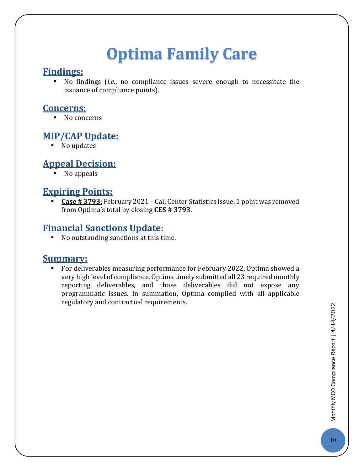# **Optima Family Care**

#### <span id="page-10-0"></span>**Findings:**

 No findings (*i.e.*, no compliance issues severe enough to necessitate the issuance of compliance points).

#### **Concerns:**

No concerns

#### **MIP/CAP Update:**

 $\blacksquare$  No updates

# **Appeal Decision:**

• No appeals

## **Expiring Points:**

 **Case # 3793**: February 2021 – Call Center Statistics Issue. 1 point was removed from Optima's total by closing **CES # 3793**.

## **Financial Sanctions Update:**

No outstanding sanctions at this time.

#### **Summary:**

 For deliverables measuring performance for February 2022, Optima showed a very high level of compliance. Optima timely submitted all 23 required monthly reporting deliverables, and those deliverables did not expose any programmatic issues. In summation, Optima complied with all applicable regulatory and contractual requirements.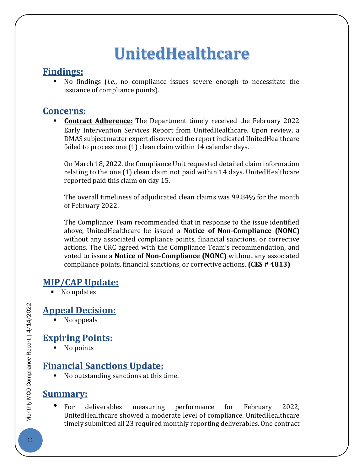# **UnitedHealthcare**

### <span id="page-11-0"></span>**Findings:**

 No findings (*i.e.*, no compliance issues severe enough to necessitate the issuance of compliance points).

## **Concerns:**

 **Contract Adherence:** The Department timely received the February 2022 Early Intervention Services Report from UnitedHealthcare. Upon review, a DMAS subject matter expert discovered the report indicated UnitedHealthcare failed to process one (1) clean claim within 14 calendar days.

On March 18, 2022, the Compliance Unit requested detailed claim information relating to the one (1) clean claim not paid within 14 days. UnitedHealthcare reported paid this claim on day 15.

The overall timeliness of adjudicated clean claims was 99.84% for the month of February 2022.

The Compliance Team recommended that in response to the issue identified above, UnitedHealthcare be issued a **Notice of Non-Compliance (NONC)** without any associated compliance points, financial sanctions, or corrective actions. The CRC agreed with the Compliance Team's recommendation, and voted to issue a **Notice of Non-Compliance (NONC)** without any associated compliance points, financial sanctions, or corrective actions. **(CES # 4813)**

### **MIP/CAP Update:**

■ No updates

# **Appeal Decision:**

• No appeals

# **Expiring Points:**

• No points

# **Financial Sanctions Update:**

No outstanding sanctions at this time.

# **Summary:**

• For deliverables measuring performance for February 2022, UnitedHealthcare showed a moderate level of compliance. UnitedHealthcare timely submitted all 23 required monthly reporting deliverables. One contract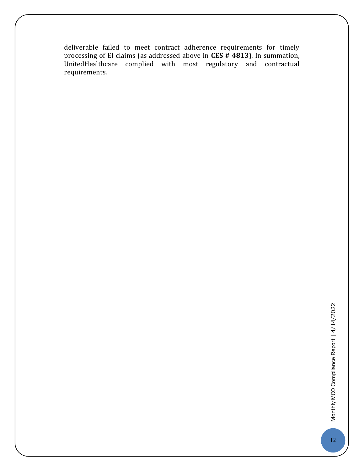<span id="page-12-0"></span>deliverable failed to meet contract adherence requirements for timely processing of EI claims (as addressed above in **CES # 4813)**. In summation, UnitedHealthcare complied with most regulatory and contractual requirements.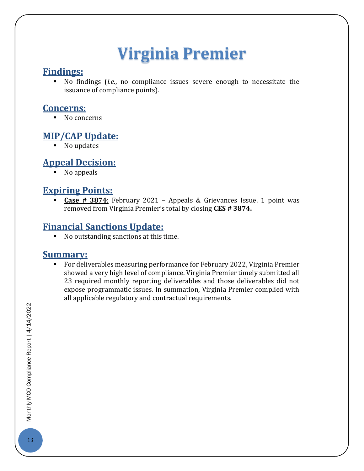# **Virginia Premier**

#### **Findings:**

 No findings (*i.e.*, no compliance issues severe enough to necessitate the issuance of compliance points).

#### **Concerns:**

No concerns

#### **MIP/CAP Update:**

No updates

# **Appeal Decision:**

• No appeals

### **Expiring Points:**

 **Case # 3874**: February 2021 – Appeals & Grievances Issue. 1 point was removed from Virginia Premier's total by closing **CES # 3874.**

# **Financial Sanctions Update:**

No outstanding sanctions at this time.

#### **Summary:**

 For deliverables measuring performance for February 2022, Virginia Premier showed a very high level of compliance. Virginia Premier timely submitted all 23 required monthly reporting deliverables and those deliverables did not expose programmatic issues. In summation, Virginia Premier complied with all applicable regulatory and contractual requirements.

Monthly MCO Compliance Report | 4/14/2022 13Monthly Monthly Munico COM Setting Computer Computer Setting 2022